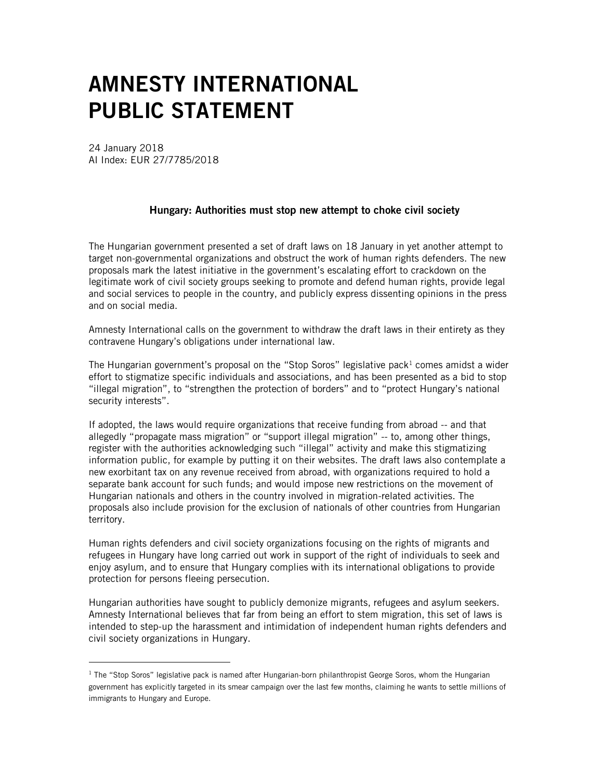## AMNESTY INTERNATIONAL PUBLIC STATEMENT

24 January 2018 AI Index: EUR 27/7785/2018

 $\overline{a}$ 

## Hungary: Authorities must stop new attempt to choke civil society

The Hungarian government presented a set of draft laws on 18 January in yet another attempt to target non-governmental organizations and obstruct the work of human rights defenders. The new proposals mark the latest initiative in the government's escalating effort to crackdown on the legitimate work of civil society groups seeking to promote and defend human rights, provide legal and social services to people in the country, and publicly express dissenting opinions in the press and on social media.

Amnesty International calls on the government to withdraw the draft laws in their entirety as they contravene Hungary's obligations under international law.

The Hungarian government's proposal on the "Stop Soros" legislative pack<sup>1</sup> comes amidst a wider effort to stigmatize specific individuals and associations, and has been presented as a bid to stop "illegal migration", to "strengthen the protection of borders" and to "protect Hungary's national security interests".

If adopted, the laws would require organizations that receive funding from abroad -- and that allegedly "propagate mass migration" or "support illegal migration" -- to, among other things, register with the authorities acknowledging such "illegal" activity and make this stigmatizing information public, for example by putting it on their websites. The draft laws also contemplate a new exorbitant tax on any revenue received from abroad, with organizations required to hold a separate bank account for such funds; and would impose new restrictions on the movement of Hungarian nationals and others in the country involved in migration-related activities. The proposals also include provision for the exclusion of nationals of other countries from Hungarian territory.

Human rights defenders and civil society organizations focusing on the rights of migrants and refugees in Hungary have long carried out work in support of the right of individuals to seek and enjoy asylum, and to ensure that Hungary complies with its international obligations to provide protection for persons fleeing persecution.

Hungarian authorities have sought to publicly demonize migrants, refugees and asylum seekers. Amnesty International believes that far from being an effort to stem migration, this set of laws is intended to step-up the harassment and intimidation of independent human rights defenders and civil society organizations in Hungary.

 $1$  The "Stop Soros" legislative pack is named after Hungarian-born philanthropist George Soros, whom the Hungarian government has explicitly targeted in its smear campaign over the last few months, claiming he wants to settle millions of immigrants to Hungary and Europe.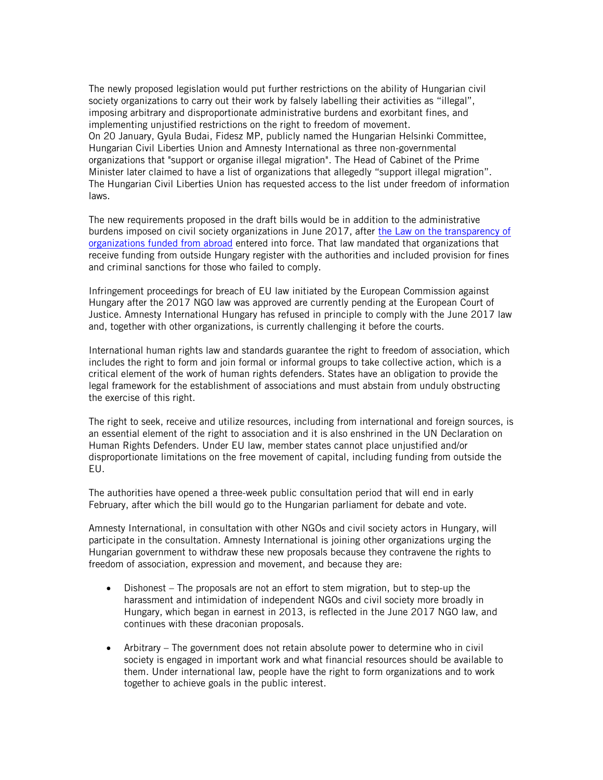The newly proposed legislation would put further restrictions on the ability of Hungarian civil society organizations to carry out their work by falsely labelling their activities as "illegal", imposing arbitrary and disproportionate administrative burdens and exorbitant fines, and implementing unjustified restrictions on the right to freedom of movement. On 20 January, Gyula Budai, Fidesz MP, publicly named the Hungarian Helsinki Committee, Hungarian Civil Liberties Union and Amnesty International as three non-governmental organizations that "support or organise illegal migration". The Head of Cabinet of the Prime Minister later claimed to have a list of organizations that allegedly "support illegal migration". The Hungarian Civil Liberties Union has requested access to the list under freedom of information laws.

The new requirements proposed in the draft bills would be in addition to the administrative burdens imposed on civil society organizations in June 2017, after [the Law on the transparency of](https://www.amnesty.org/en/latest/news/2017/06/hungary-ngo-law-a-vicious-and-calculated-assault-on-civil-society/)  [organizations funded from abroad](https://www.amnesty.org/en/latest/news/2017/06/hungary-ngo-law-a-vicious-and-calculated-assault-on-civil-society/) entered into force. That law mandated that organizations that receive funding from outside Hungary register with the authorities and included provision for fines and criminal sanctions for those who failed to comply.

Infringement proceedings for breach of EU law initiated by the European Commission against Hungary after the 2017 NGO law was approved are currently pending at the European Court of Justice. Amnesty International Hungary has refused in principle to comply with the June 2017 law and, together with other organizations, is currently challenging it before the courts.

International human rights law and standards guarantee the right to freedom of association, which includes the right to form and join formal or informal groups to take collective action, which is a critical element of the work of human rights defenders. States have an obligation to provide the legal framework for the establishment of associations and must abstain from unduly obstructing the exercise of this right.

The right to seek, receive and utilize resources, including from international and foreign sources, is an essential element of the right to association and it is also enshrined in the UN Declaration on Human Rights Defenders. Under EU law, member states cannot place unjustified and/or disproportionate limitations on the free movement of capital, including funding from outside the EU.

The authorities have opened a three-week public consultation period that will end in early February, after which the bill would go to the Hungarian parliament for debate and vote.

Amnesty International, in consultation with other NGOs and civil society actors in Hungary, will participate in the consultation. Amnesty International is joining other organizations urging the Hungarian government to withdraw these new proposals because they contravene the rights to freedom of association, expression and movement, and because they are:

- Dishonest The proposals are not an effort to stem migration, but to step-up the harassment and intimidation of independent NGOs and civil society more broadly in Hungary, which began in earnest in 2013, is reflected in the June 2017 NGO law, and continues with these draconian proposals.
- Arbitrary The government does not retain absolute power to determine who in civil society is engaged in important work and what financial resources should be available to them. Under international law, people have the right to form organizations and to work together to achieve goals in the public interest.